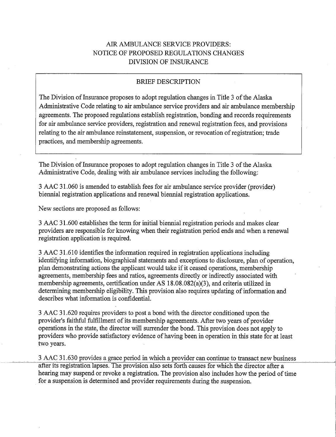# AIR AMBULANCE SERVICE PROVIDERS: NOTICE OF PROPOSED REGULATIONS CHANGES **DIVISION OF INSURANCE**

# **BRIEF DESCRIPTION**

The Division of Insurance proposes to adopt regulation changes in Title 3 of the Alaska Administrative Code relating to air ambulance service providers and air ambulance membership agreements. The proposed regulations establish registration, bonding and records requirements for air ambulance service providers, registration and renewal registration fees, and provisions relating to the air ambulance reinstatement, suspension, or revocation of registration; trade practices, and membership agreements.

The Division of Insurance proposes to adopt regulation changes in Title 3 of the Alaska Administrative Code, dealing with air ambulance services including the following:

3 AAC 31.060 is amended to establish fees for air ambulance service provider (provider) biennial registration applications and renewal biennial registration applications.

New sections are proposed as follows:

3 AAC 31.600 establishes the term for initial biennial registration periods and makes clear providers are responsible for knowing when their registration period ends and when a renewal registration application is required.

3 AAC 31.610 identifies the information required in registration applications including identifying information, biographical statements and exceptions to disclosure, plan of operation, plan demonstrating actions the applicant would take if it ceased operations, membership agreements, membership fees and ratios, agreements directly or indirectly associated with membership agreements, certification under AS 18.08.082(a)(3), and criteria utilized in determining membership eligibility. This provision also requires updating of information and describes what information is confidential.

3 AAC 31.620 requires providers to post a bond with the director conditioned upon the provider's faithful fulfillment of its membership agreements. After two years of provider operations in the state, the director will surrender the bond. This provision does not apply to providers who provide satisfactory evidence of having been in operation in this state for at least two years.

3 AAC 31.630 provides a grace period in which a provider can continue to transact new business after its registration lapses. The provision also sets forth causes for which the director after a hearing may suspend or revoke a registration. The provision also includes how the period of time for a suspension is determined and provider requirements during the suspension.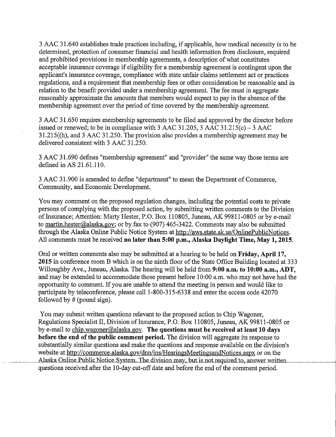3 AAC 31.640 establishes trade practices including, if applicable, how medical necessity is to be determined, protection of consumer financial and health information from disclosure, required and prohibited provisions in membership agreements, a description of what constitutes acceptable insurance coverage if eligibility for a membership agreement is contingent upon the applicant's insurance coverage, compliance with state unfair claims settlement act or practices regulations, and a requirement that membership fees or other consideration be reasonable and in relation to the benefit provided under a membership agreement. The fee must in aggregate reasonably approximate the amounts that members would expect to pay in the absence of the membership agreement over the period of time covered by the membership agreement.

3 AAC 31.650 requires membership agreements to be filed and approved by the director before issued or renewed; to be in compliance with 3 AAC 31.205, 3 AAC 31.215(c) - 3 AAC  $31.215$ ((h), and 3 AAC 31.250. The provision also provides a membership agreement may be delivered consistent with 3 AAC 31.250.

3 AAC 31.690 defines "membership agreement" and "provider" the same way those terms are defined in AS 21.61.110.

3 AAC 31.900 is amended to define "department" to mean the Department of Commerce, Community, and Economic Development.

You may comment on the proposed regulation changes, including the potential costs to private persons of complying with the proposed action, by submitting written comments to the Division of Insurance; Attention: Marty Hester, P.O. Box 110805, Juneau, AK 99811-0805 or by e-mail to martin.hester@alaska.gov; or by fax to  $(907)$  465-3422. Comments may also be submitted through the Alaska Online Public Notice System at http://aws.state.ak.us/OnlinePublicNotices. All comments must be received no later than 5:00 p.m., Alaska Daylight Time, May 1, 2015.

Oral or written comments also may be submitted at a hearing to be held on Friday, April 17, 2015 in conference room B which is on the ninth floor of the State Office Building located at 333 Willoughby Ave., Juneau, Alaska. The hearing will be held from 9:00 a.m. to 10:00 a.m., ADT, and may be extended to accommodate those present before 10:00 a.m. who may not have had the opportunity to comment. If you are unable to attend the meeting in person and would like to participate by teleconference, please call 1-800-315-6338 and enter the access code 42070 followed by  $#$  (pound sign).

You may submit written questions relevant to the proposed action to Chip Wagoner, Regulations Specialist II, Division of Insurance, P.O. Box 110805, Juneau, AK 99811-0805 or by e-mail to chip.wagoner@alaska.gov. The questions must be received at least 10 days before the end of the public comment period. The division will aggregate its response to substantially similar questions and make the questions and response available on the division's website at http://commerce.alaska.gov/dnn/ins/HearingsMeetingsandNotices.aspx or on the Alaska Online Public Notice System. The division may, but is not required to, answer written questions received after the 10-day cut-off date and before the end of the comment period.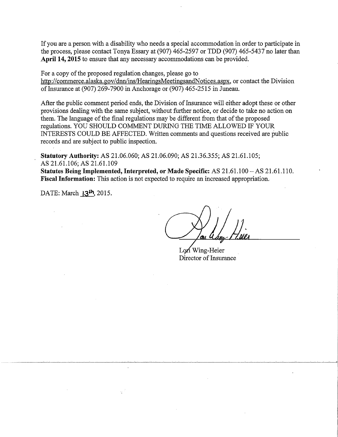If you are a person with a disability who needs a special accommodation in order to participate in the process, please contact Tonya Essary at (907) 465-2597 or TDD (907) 465-5437 no later than April 14, 2015 to ensure that any necessary accommodations can be provided.

For a copy of the proposed regulation changes, please go to http://commerce.alaska.gov/dnn/ins/HearingsMeetingsandNotices.aspx, or contact the Division of Insurance at (907) 269-7900 in Anchorage or (907) 465-2515 in Juneau.

After the public comment period ends, the Division of Insurance will either adopt these or other provisions dealing with the same subject, without further notice, or decide to take no action on them. The language of the final regulations may be different from that of the proposed regulations. YOU SHOULD COMMENT DURING THE TIME ALLOWED IF YOUR INTERESTS COULD BE AFFECTED. Written comments and questions received are public records and are subject to public inspection.

**Statutory Authority:** AS 21.06.060; AS 21.06.090; AS 21.36.355; AS 21.61.105; AS 21.61.106; AS 21.61.109

Statutes Being Implemented, Interpreted, or Made Specific: AS 21.61.100 - AS 21.61.110. **Fiscal Information:** This action is not expected to require an increased appropriation.

DATE: March 13<sup>1</sup>, 2015.

Lori Wing-Heier Director of Insurance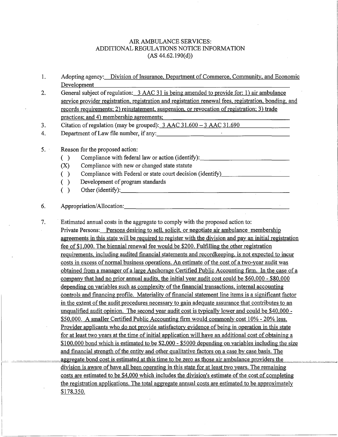### AIR AMBULANCE SERVICES: ADDITIONAL REGULATIONS NOTICE INFORMATION (AS 44.62.190(d))

- 1. Adopting agency: Division of Insurance, Department of Commerce, Community, and Economic Development
- 2. General subject of regulation: 3 AAC 31 is being amended to provide for: 1) air ambulance service provider registration, registration and registration renewal fees, registration, bonding, and records requirements; 2) reinstatement, suspension, or revocation ofregistration; 3) trade practices; and 4) membership agreements;
- 3. Citation of regulation (may be grouped): 3 AAC 31.600 3 AAC 31.690
- 4. Department of Law file number, if any:

#### 5. Reason for the proposed action:

- () Compliance with federal law or action (identify):  $\Box$
- (X) Compliance with new or changed state statute
- () Compliance with Federal or state court decision (identify)
- ( ) Development of program standards
- () Other (identify):  $\qquad \qquad$

# 6. Appropriation/Allocation: \_\_\_\_\_\_\_\_\_\_\_\_\_\_\_\_\_\_\_\_\_\_\_ \_

7. · Estimated annual costs in the aggregate to comply with the proposed action to: Private Persons: Persons desiring to sell, solicit, or negotiate air ambulance membership agreements in this state will be required to register with the division and pay an initial registration fee of \$1,000. The biennial renewal fee would be \$200. Fulfilling the other registration requirements, including audited financial statements and recordkeeping, is not expected to incur costs in excess of normal business operations. An estimate of the cost of a two-year audit was obtained from a manager of a large Anchorage Certified Public Accounting firm. In the case of a company that had no prior annual audits, the initial year audit cost could be \$60,000 - \$80,000 depending on variables such as complexity of the financial transactions, internal accounting controls and financing profile. Materiality of financial statement line items is a significant factor in the extent of the audit procedures necessary to gain adequate assurance that contributes to an unqualified audit opinion. The second year audit cost is typically lower and could be \$40,000 - \$50,000. A smaller Certified Public Accounting firm would commonly cost 10% - 20% less. Provider applicants who do not provide satisfactory evidence of being in operation in this state for at least two years at the time of initial application will have an additional cost of obtaining a \$100,000 bond which is estimated to be \$2,000 - \$5000 depending on variables including the size and financial strength of the entity and other qualitative factors on a case by case basis. The aggregate bond cost is estimated at this time to be zero as those air ambulance providers the division is aware of have all been operating in this state for at least two years. The remaining costs are estimated to be \$4,000 which includes the division's estimate of the cost of completing the registration applications. The total aggregate annual costs are estimated to be approximately \$178,350.